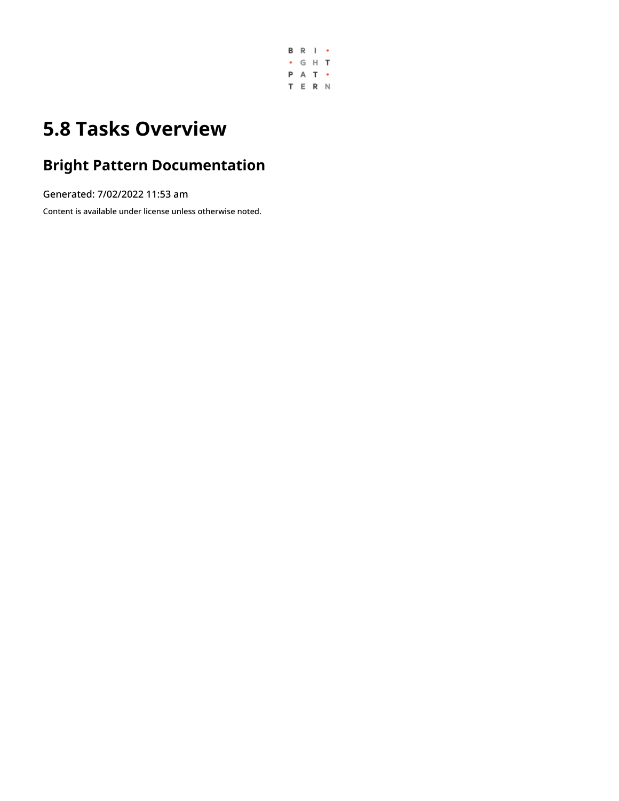

# **5.8 Tasks Overview**

# **Bright Pattern Documentation**

Generated: 7/02/2022 11:53 am

Content is available under license unless otherwise noted.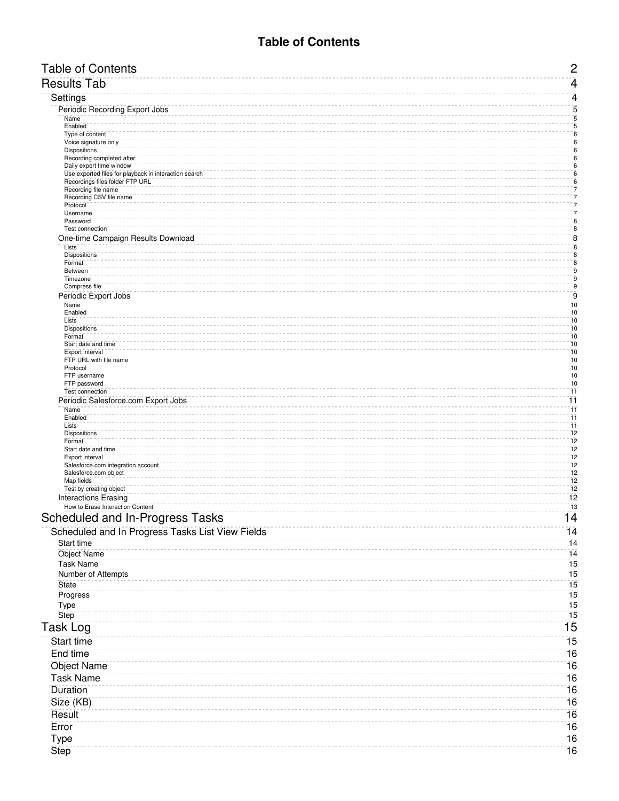# **Table of Contents**

<span id="page-1-0"></span>

| <b>Table of Contents</b>                                                                 | $\mathbf{2}$                         |
|------------------------------------------------------------------------------------------|--------------------------------------|
| <b>Results Tab</b>                                                                       | $\overline{4}$                       |
| Settings                                                                                 | $\overline{4}$                       |
| Periodic Recording Export Jobs                                                           | $\sqrt{5}$                           |
| Name<br>Enabled                                                                          | $\sqrt{5}$<br>$\overline{5}$         |
| Type of content                                                                          | $\bar{\mathbf{6}}$                   |
| Voice signature only                                                                     | $\overline{6}$<br>$\overline{6}$     |
| <b>Dispositions</b><br>Recording completed after                                         | $\overline{6}$                       |
| Daily export time window                                                                 | $\, 6$                               |
| Use exported files for playback in interaction search<br>Recordings files folder FTP URL | $\mathbf 6$<br>$\bar{6}$             |
| Recording file name                                                                      | 7                                    |
| Recording CSV file name<br>Protocol                                                      | $\bar{7}$<br>7                       |
| Username                                                                                 | $\bar{7}$                            |
| Password<br>Test connection                                                              | $\bar{8}$<br>$\bf 8$                 |
| One-time Campaign Results Download                                                       | $\bf 8$                              |
| Lists                                                                                    | $\bf 8$<br>$\bar{8}$                 |
| <b>Dispositions</b><br>Format                                                            | $\bf 8$                              |
| Between                                                                                  | $\overline{9}$<br>$\bar{\mathbf{g}}$ |
| Timezone<br>Compress file                                                                | $\bar{\mathbf{g}}$                   |
| Periodic Export Jobs                                                                     | $\mathsf g$                          |
| Name<br>Enabled                                                                          | 10<br>10                             |
| Lists                                                                                    | $\overline{10}$                      |
| <b>Dispositions</b><br>Format                                                            | $\overline{10}$<br>10                |
| Start date and time                                                                      | 10                                   |
| Export interval<br>FTP URL with file name                                                | 10                                   |
| Protocol                                                                                 | 10<br>10                             |
| FTP username                                                                             | $\overline{10}$                      |
| FTP password<br>Test connection                                                          | 10<br>$\overline{11}$                |
| Periodic Salesforce.com Export Jobs                                                      | $\overline{11}$                      |
| Name<br>Enabled                                                                          | 11<br>$\overline{11}$                |
| Lists                                                                                    | $\overline{11}$                      |
| <b>Dispositions</b>                                                                      | $\overline{12}$                      |
| Format<br>Start date and time                                                            | $\bar{1}\bar{2}$<br>12               |
| Export interval                                                                          | 12                                   |
| Salesforce.com integration account<br>Salesforce.com object                              | $\overline{12}$<br>$\overline{12}$   |
| Map fields                                                                               | $\bar{1}\bar{2}$                     |
| Test by creating object<br><b>Interactions Erasing</b>                                   | 12<br>12                             |
| How to Erase Interaction Content                                                         | 13                                   |
| Scheduled and In-Progress Tasks                                                          | 14                                   |
| Scheduled and In Progress Tasks List View Fields                                         | 14                                   |
| Start time                                                                               | 14                                   |
| <b>Object Name</b>                                                                       | 14                                   |
| <b>Task Name</b>                                                                         | 15                                   |
| Number of Attempts                                                                       | 15                                   |
| <b>State</b>                                                                             | 15                                   |
| Progress                                                                                 | 15                                   |
| Type                                                                                     | 15                                   |
| Step                                                                                     | 15                                   |
| Task Log                                                                                 | $\overline{15}$                      |
| Start time                                                                               | $\overline{15}$                      |
| End time                                                                                 | 16                                   |
| <b>Object Name</b>                                                                       | 16                                   |
| <b>Task Name</b>                                                                         | 16                                   |
| Duration                                                                                 | 16                                   |
| Size (KB)                                                                                | 16                                   |
| Result                                                                                   | 16                                   |
| Error                                                                                    | 16                                   |
| Type                                                                                     | 16                                   |
| Step                                                                                     | 16                                   |
|                                                                                          |                                      |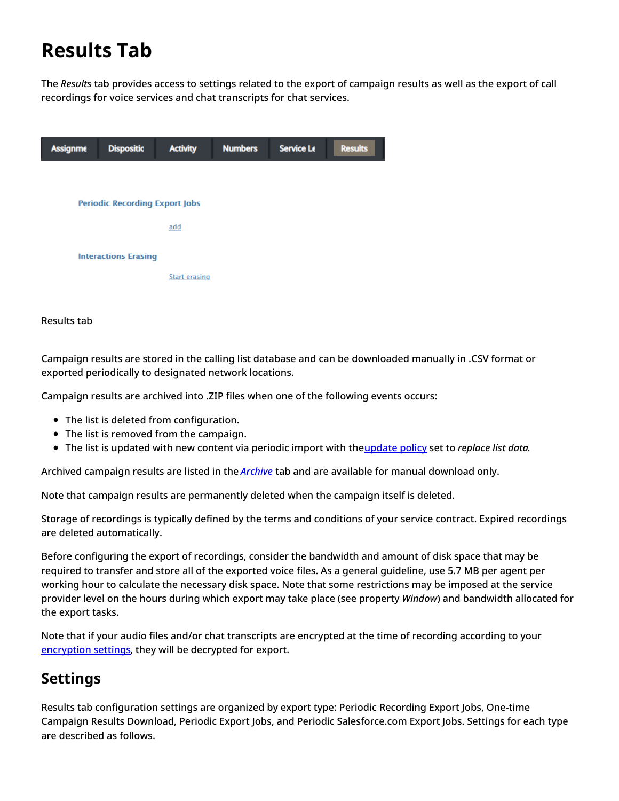# <span id="page-3-0"></span>**Results Tab**

The *Results* tab provides access to settings related to the export of campaign results as well as the export of call recordings for voice services and chat transcripts for chat services.



# Results tab

Campaign results are stored in the calling list database and can be downloaded manually in .CSV format or exported periodically to designated network locations.

Campaign results are archived into .ZIP files when one of the following events occurs:

- The list is deleted from configuration.
- The list is removed from the campaign.
- The list is updated with new content via periodic import with th[eupdate](https://help.brightpattern.com/5.8:Contact-center-administrator-guide/Lists#Manual_List_Update) policy set to *replace list data*.

Archived campaign results are listed in the *[Archive](https://help.brightpattern.com/5.8:Contact-center-administrator-guide/Tasks/Overview/?action=html-localimages-export#topic_contact-center-administrator-guide.2Farchivetab)* tab and are available for manual download only.

Note that campaign results are permanently deleted when the campaign itself is deleted.

Storage of recordings is typically defined by the terms and conditions of your service contract. Expired recordings are deleted automatically.

Before configuring the export of recordings, consider the bandwidth and amount of disk space that may be required to transfer and store all of the exported voice files. As a general guideline, use 5.7 MB per agent per working hour to calculate the necessary disk space. Note that some restrictions may be imposed at the service provider level on the hours during which export may take place (see property *Window*) and bandwidth allocated for the export tasks.

Note that if your audio files and/or chat transcripts are encrypted at the time of recording according to your [encryption](https://help.brightpattern.com/5.8:Contact-center-administrator-guide/Tasks/Overview/?action=html-localimages-export#topic_contact-center-administrator-guide.2Fsecurity.2Fencryptionsettings) settings, they will be decrypted for export.

# <span id="page-3-1"></span>**Settings**

Results tab configuration settings are organized by export type: Periodic Recording Export Jobs, One-time Campaign Results Download, Periodic Export Jobs, and Periodic Salesforce.com Export Jobs. Settings for each type are described as follows.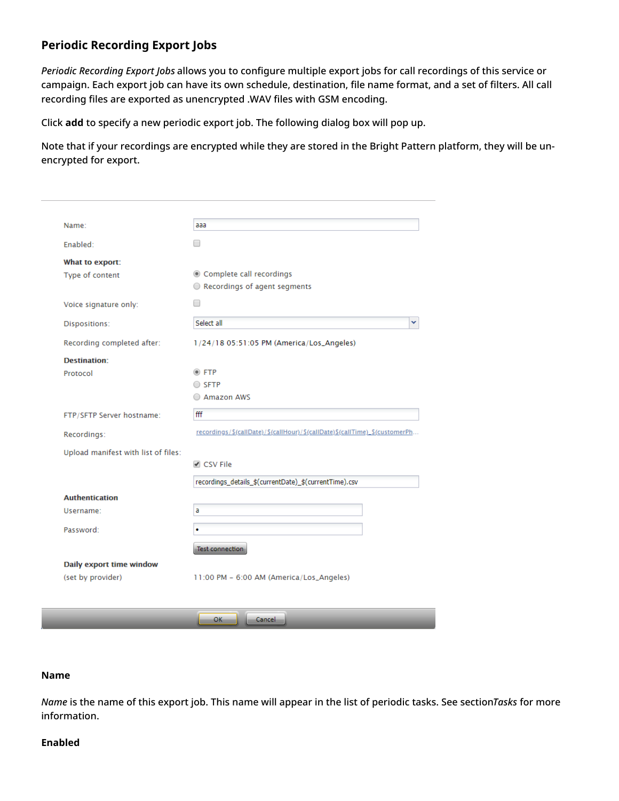# <span id="page-4-0"></span>**Periodic Recording Export Jobs**

*Periodic Recording Export Jobs* allows you to configure multiple export jobs for call recordings of this service or campaign. Each export job can have its own schedule, destination, file name format, and a set of filters. All call recording files are exported as unencrypted .WAV files with GSM encoding.

Click **add** to specify a new periodic export job. The following dialog box will pop up.

Note that if your recordings are encrypted while they are stored in the Bright Pattern platform, they will be unencrypted for export.

| Name:                               | aaa                                                                         |
|-------------------------------------|-----------------------------------------------------------------------------|
| Enabled:                            |                                                                             |
| What to export:                     |                                                                             |
| Type of content                     | © Complete call recordings                                                  |
|                                     | Recordings of agent segments                                                |
| Voice signature only:               | □                                                                           |
| Dispositions:                       | Select all<br>v                                                             |
| Recording completed after:          | 1/24/18 05:51:05 PM (America/Los_Angeles)                                   |
| Destination:                        |                                                                             |
| Protocol                            | $\circ$ FTP                                                                 |
|                                     | ○ SFTP                                                                      |
|                                     | Amazon AWS                                                                  |
| FTP/SFTP Server hostname:           | fff                                                                         |
| Recordings:                         | recordings/\$(callDate)/\$(callHour)/\$(callDate)\$(callTime)_\$(customerPh |
| Upload manifest with list of files: |                                                                             |
|                                     | √ CSV File                                                                  |
|                                     | recordings_details_\$(currentDate)_\$(currentTime).csv                      |
| <b>Authentication</b>               |                                                                             |
| Username:                           | a                                                                           |
| Password:                           | ٠                                                                           |
|                                     |                                                                             |
|                                     | Test connection                                                             |
| Daily export time window            |                                                                             |
|                                     | 11:00 PM - 6:00 AM (America/Los_Angeles)                                    |

### <span id="page-4-1"></span>**Name**

*Name* is the name of this export job. This name will appear in the list of periodic tasks. See section*Tasks* for more information.

#### <span id="page-4-2"></span>**Enabled**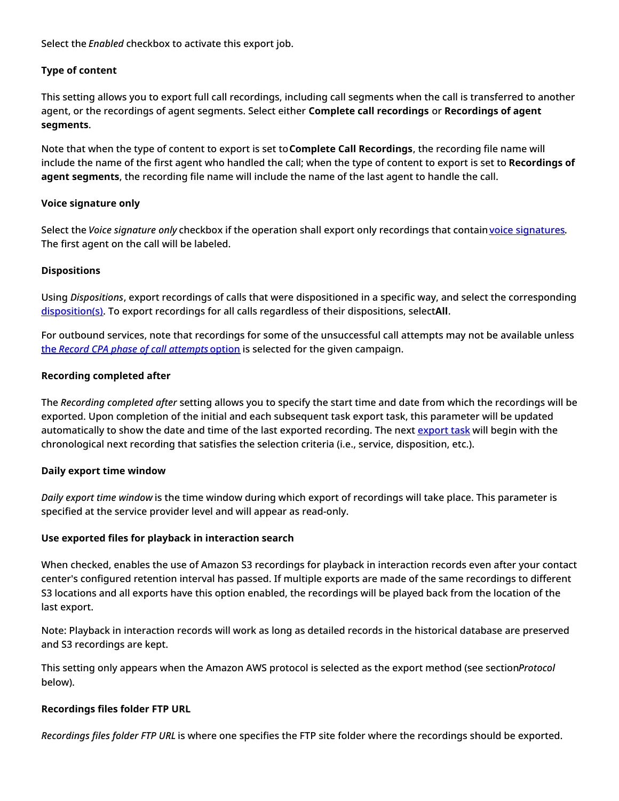Select the *Enabled* checkbox to activate this export job.

# <span id="page-5-0"></span>**Type of content**

This setting allows you to export full call recordings, including call segments when the call is transferred to another agent, or the recordings of agent segments. Select either **Complete call recordings** or **Recordings of agent segments**.

Note that when the type of content to export is set to**Complete Call Recordings**, the recording file name will include the name of the first agent who handled the call; when the type of content to export is set to **Recordings of agent segments**, the recording file name will include the name of the last agent to handle the call.

# <span id="page-5-1"></span>**Voice signature only**

Select the *Voice signature only* checkbox if the operation shall export only recordings that contain voice [signatures](https://help.brightpattern.com/5.8:Contact-center-administrator-guide/Tasks/Overview/?action=html-localimages-export#topic_contact-center-administrator-guide.2Fpropertiestab). The first agent on the call will be labeled.

# <span id="page-5-2"></span>**Dispositions**

Using *Dispositions*, export recordings of calls that were dispositioned in a specific way, and select the corresponding [disposition\(s\)](https://help.brightpattern.com/5.8:Contact-center-administrator-guide/Tasks/Overview/?action=html-localimages-export#topic_contact-center-administrator-guide.2Fdispositionstab). To export recordings for all calls regardless of their dispositions, select**All**.

For outbound services, note that recordings for some of the unsuccessful call attempts may not be available unless the *Record CPA phase of call [attempts](https://help.brightpattern.com/5.8:Contact-center-administrator-guide/Tasks/Overview/?action=html-localimages-export#topic_contact-center-administrator-guide.2Foutbound-general)* option is selected for the given campaign.

# <span id="page-5-3"></span>**Recording completed after**

The *Recording completed after* setting allows you to specify the start time and date from which the recordings will be exported. Upon completion of the initial and each subsequent task export task, this parameter will be updated automatically to show the date and time of the last [export](https://help.brightpattern.com/5.8:Contact-center-administrator-guide/Tasks/Overview/?action=html-localimages-export#topic_contact-center-administrator-guide.2Fscheduledandin-progresstasks)ed recording. The next export task will begin with the chronological next recording that satisfies the selection criteria (i.e., service, disposition, etc.).

# <span id="page-5-4"></span>**Daily export time window**

*Daily export time window* is the time window during which export of recordings will take place. This parameter is specified at the service provider level and will appear as read-only.

# <span id="page-5-5"></span>**Use exported files for playback in interaction search**

When checked, enables the use of Amazon S3 recordings for playback in interaction records even after your contact center's configured retention interval has passed. If multiple exports are made of the same recordings to different S3 locations and all exports have this option enabled, the recordings will be played back from the location of the last export.

Note: Playback in interaction records will work as long as detailed records in the historical database are preserved and S3 recordings are kept.

This setting only appears when the Amazon AWS protocol is selected as the export method (see section*Protocol* below).

# <span id="page-5-6"></span>**Recordings files folder FTP URL**

*Recordings files folder FTP URL* is where one specifies the FTP site folder where the recordings should be exported.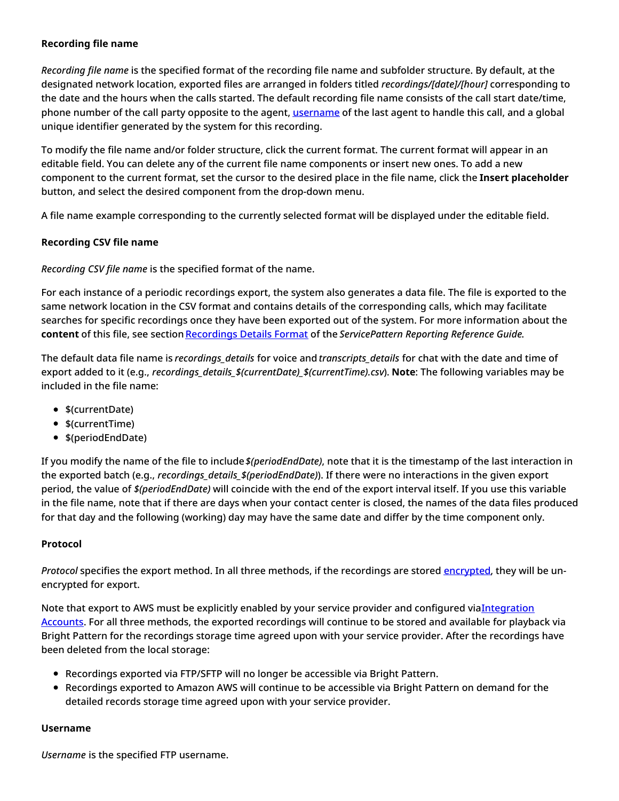# <span id="page-6-0"></span>**Recording file name**

*Recording file name* is the specified format of the recording file name and subfolder structure. By default, at the designated network location, exported files are arranged in folders titled *recordings/[date]/[hour]* corresponding to the date and the hours when the calls started. The default recording file name consists of the call start date/time, phone number of the call party opposite to the agent, [username](https://help.brightpattern.com/5.8:Contact-center-administrator-guide/Tasks/Overview/?action=html-localimages-export#topic_contact-center-administrator-guide.2Fusers) of the last agent to handle this call, and a global unique identifier generated by the system for this recording.

To modify the file name and/or folder structure, click the current format. The current format will appear in an editable field. You can delete any of the current file name components or insert new ones. To add a new component to the current format, set the cursor to the desired place in the file name, click the **Insert placeholder** button, and select the desired component from the drop-down menu.

A file name example corresponding to the currently selected format will be displayed under the editable field.

# <span id="page-6-1"></span>**Recording CSV file name**

*Recording CSV file name* is the specified format of the name.

For each instance of a periodic recordings export, the system also generates a data file. The file is exported to the same network location in the CSV format and contains details of the corresponding calls, which may facilitate searches for specific recordings once they have been exported out of the system. For more information about the **content** of this file, see section [Recordings](https://help.brightpattern.com/5.8:Contact-center-administrator-guide/Tasks/Overview/?action=html-localimages-export#topic_reporting-reference-guide.2Frecordingsdetailsformat) Details Format of the *ServicePattern Reporting Reference Guide*.

The default data file name is *recordings\_details* for voice and *transcripts\_details* for chat with the date and time of export added to it (e.g., *recordings\_details\_\$(currentDate)\_\$(currentTime).csv*). **Note**: The following variables may be included in the file name:

- \$(currentDate)
- \$(currentTime)
- \$(periodEndDate)

If you modify the name of the file to include*\$(periodEndDate)*, note that it is the timestamp of the last interaction in the exported batch (e.g., *recordings\_details\_\$(periodEndDate)*). If there were no interactions in the given export period, the value of *\$(periodEndDate)* will coincide with the end of the export interval itself. If you use this variable in the file name, note that if there are days when your contact center is closed, the names of the data files produced for that day and the following (working) day may have the same date and differ by the time component only.

# <span id="page-6-2"></span>**Protocol**

*Protocol* specifies the export method. In all three methods, if the recordings are stored [encrypted](https://help.brightpattern.com/5.8:Contact-center-administrator-guide/Tasks/Overview/?action=html-localimages-export#topic_contact-center-administrator-guide.2Fencryption), they will be unencrypted for export.

Note that export to AWS must be explicitly enabled by your service provider and configured [viaIntegration](https://help.brightpattern.com/5.8:Contact-center-administrator-guide/IntegrationAccounts#Amazon_AWS_Integration) Accounts. For all three methods, the exported recordings will continue to be stored and available for playback via Bright Pattern for the recordings storage time agreed upon with your service provider. After the recordings have been deleted from the local storage:

- Recordings exported via FTP/SFTP will no longer be accessible via Bright Pattern.
- Recordings exported to Amazon AWS will continue to be accessible via Bright Pattern on demand for the detailed records storage time agreed upon with your service provider.

# <span id="page-6-3"></span>**Username**

*Username* is the specified FTP username.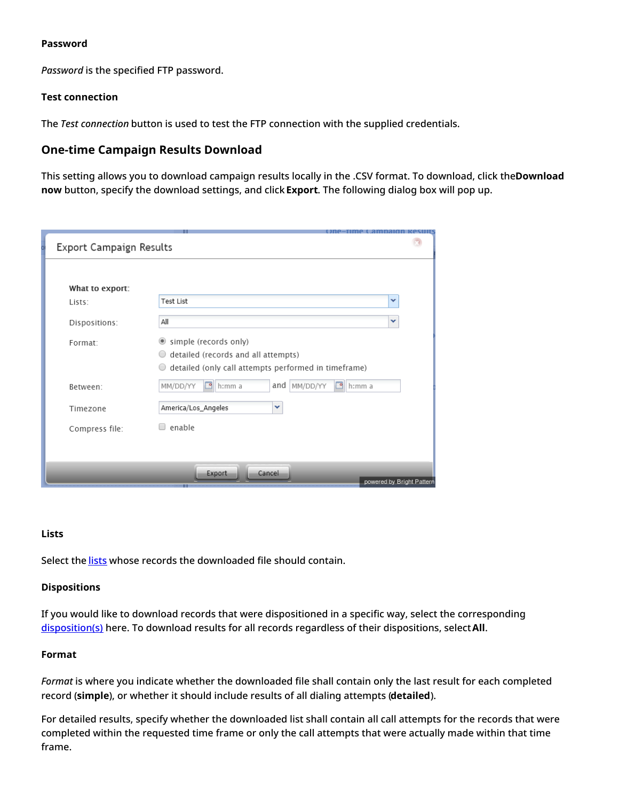## <span id="page-7-0"></span>**Password**

*Password* is the specified FTP password.

## <span id="page-7-1"></span>**Test connection**

The *Test connection* button is used to test the FTP connection with the supplied credentials.

# <span id="page-7-2"></span>**One-time Campaign Results Download**

This setting allows you to download campaign results locally in the .CSV format. To download, click the**Download now** button, specify the download settings, and click **Export**. The following dialog box will pop up.

| Export Campaign Results |                                                           |  |
|-------------------------|-----------------------------------------------------------|--|
|                         |                                                           |  |
| What to export:         |                                                           |  |
| Lists:                  | v<br><b>Test List</b>                                     |  |
| Dispositions:           | All<br>v                                                  |  |
| Format:                 | Simple (records only)                                     |  |
|                         | detailed (records and all attempts)<br>0                  |  |
|                         | detailed (only call attempts performed in timeframe)<br>0 |  |
| Between:                | MM/DD/YY<br>MM/DD/YY<br>and<br>₽<br>h:mm a<br>의<br>h:mm a |  |
| Timezone                | v<br>America/Los_Angeles                                  |  |
| Compress file:          | enable                                                    |  |
|                         |                                                           |  |
|                         |                                                           |  |
|                         | Export<br>Cancel                                          |  |
|                         | powered by Bright Pattern                                 |  |

#### <span id="page-7-3"></span>**Lists**

Select the [lists](https://help.brightpattern.com/5.8:Contact-center-administrator-guide/Tasks/Overview/?action=html-localimages-export#topic_contact-center-administrator-guide.2Fliststab) whose records the downloaded file should contain.

#### <span id="page-7-4"></span>**Dispositions**

If you would like to download records that were dispositioned in a specific way, select the corresponding [disposition\(s\)](https://help.brightpattern.com/5.8:Contact-center-administrator-guide/Tasks/Overview/?action=html-localimages-export#topic_contact-center-administrator-guide.2Fdispositionstab) here. To download results for all records regardless of their dispositions, select**All**.

#### <span id="page-7-5"></span>**Format**

*Format* is where you indicate whether the downloaded file shall contain only the last result for each completed record (**simple**), or whether it should include results of all dialing attempts (**detailed**).

For detailed results, specify whether the downloaded list shall contain all call attempts for the records that were completed within the requested time frame or only the call attempts that were actually made within that time frame.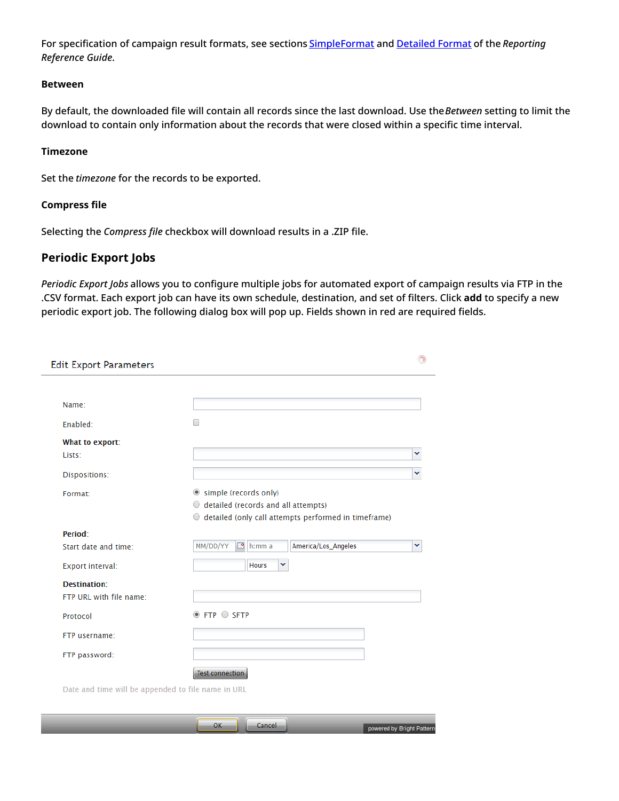For specification of campaign result formats, see sections [SimpleFormat](https://help.brightpattern.com/5.8:Contact-center-administrator-guide/Tasks/Overview/?action=html-localimages-export#topic_reporting-reference-guide.2Fsimpleformat) and [Detailed](https://help.brightpattern.com/5.8:Contact-center-administrator-guide/Tasks/Overview/?action=html-localimages-export#topic_reporting-reference-guide.2Fdetailedformat) Format of the *Reporting Reference Guide*.

### <span id="page-8-0"></span>**Between**

By default, the downloaded file will contain all records since the last download. Use the*Between* setting to limit the download to contain only information about the records that were closed within a specific time interval.

## <span id="page-8-1"></span>**Timezone**

Set the *timezone* for the records to be exported.

## <span id="page-8-2"></span>**Compress file**

Selecting the *Compress file* checkbox will download results in a .ZIP file.

# <span id="page-8-3"></span>**Periodic Export Jobs**

*Periodic Export Jobs* allows you to configure multiple jobs for automated export of campaign results via FTP in the .CSV format. Each export job can have its own schedule, destination, and set of filters. Click **add** to specify a new periodic export job. The following dialog box will pop up. Fields shown in red are required fields.

| <b>Edit Export Parameters</b>                      |                                                           |   |
|----------------------------------------------------|-----------------------------------------------------------|---|
|                                                    |                                                           |   |
| Name:                                              |                                                           |   |
| Enabled:                                           | □                                                         |   |
| What to export:                                    |                                                           |   |
| Lists:                                             |                                                           | v |
| Dispositions:                                      |                                                           | v |
| Format:                                            | Simple (records only)                                     |   |
|                                                    | $\circ$ detailed (records and all attempts)               |   |
|                                                    | detailed (only call attempts performed in timeframe)<br>0 |   |
| Period:                                            |                                                           |   |
| Start date and time:                               | MM/DD/YY<br>⊡<br>America/Los_Angeles<br>$h:mm$ a          | v |
| Export interval:                                   | v<br><b>Hours</b>                                         |   |
| Destination:                                       |                                                           |   |
| FTP URL with file name:                            |                                                           |   |
| Protocol                                           | $\circ$ FTP $\circ$ SFTP                                  |   |
| FTP username:                                      |                                                           |   |
| FTP password:                                      |                                                           |   |
|                                                    | <b>Test connection</b>                                    |   |
| Date and time will be appended to file name in URL |                                                           |   |

| $\sim$<br>Cancel<br>UN | powered by Bright Pattern |
|------------------------|---------------------------|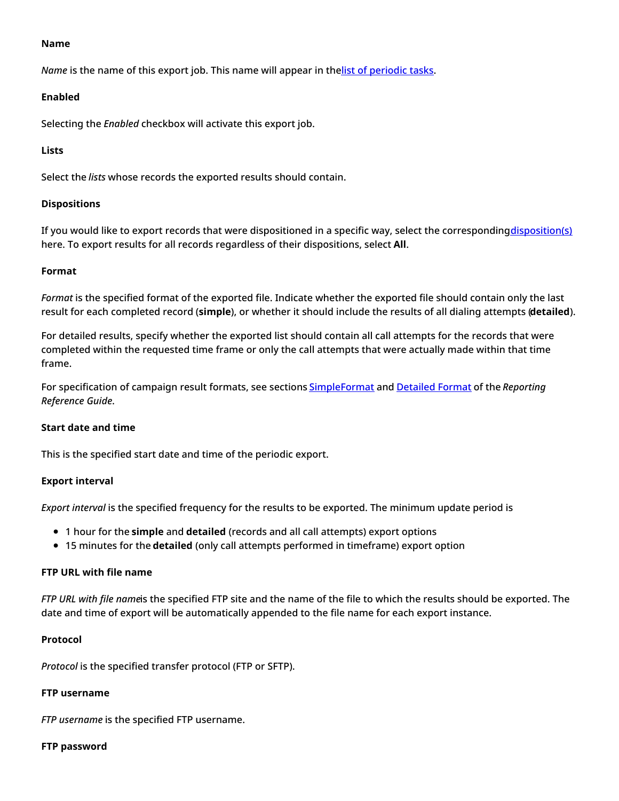#### <span id="page-9-0"></span>**Name**

*Name* is the name of this export job. This name will appear in thelist of [periodic](https://help.brightpattern.com/5.8:Contact-center-administrator-guide/Tasks/Overview/?action=html-localimages-export#topic_contact-center-administrator-guide.2Fscheduledandin-progresstasks) tasks.

### <span id="page-9-1"></span>**Enabled**

Selecting the *Enabled* checkbox will activate this export job.

## <span id="page-9-2"></span>**Lists**

Select the *lists* whose records the exported results should contain.

## <span id="page-9-3"></span>**Dispositions**

If you would like to export records that were dispositioned in a specific way, select the corresponding [disposition\(s\)](https://help.brightpattern.com/5.8:Contact-center-administrator-guide/Tasks/Overview/?action=html-localimages-export#topic_contact-center-administrator-guide.2Fdispositionstab) here. To export results for all records regardless of their dispositions, select **All**.

## <span id="page-9-4"></span>**Format**

*Format* is the specified format of the exported file. Indicate whether the exported file should contain only the last result for each completed record (**simple**), or whether it should include the results of all dialing attempts (**detailed**).

For detailed results, specify whether the exported list should contain all call attempts for the records that were completed within the requested time frame or only the call attempts that were actually made within that time frame.

For specification of campaign result formats, see sections [SimpleFormat](https://help.brightpattern.com/5.8:Contact-center-administrator-guide/Tasks/Overview/?action=html-localimages-export#topic_reporting-reference-guide.2Fsimpleformat) and [Detailed](https://help.brightpattern.com/5.8:Contact-center-administrator-guide/Tasks/Overview/?action=html-localimages-export#topic_reporting-reference-guide.2Fdetailedformat) Format of the *Reporting Reference Guide*.

# <span id="page-9-5"></span>**Start date and time**

This is the specified start date and time of the periodic export.

# <span id="page-9-6"></span>**Export interval**

*Export interval* is the specified frequency for the results to be exported. The minimum update period is

- 1 hour for the **simple** and **detailed** (records and all call attempts) export options
- 15 minutes for the **detailed** (only call attempts performed in timeframe) export option

#### <span id="page-9-7"></span>**FTP URL with file name**

*FTP URL with file name*is the specified FTP site and the name of the file to which the results should be exported. The date and time of export will be automatically appended to the file name for each export instance.

### <span id="page-9-8"></span>**Protocol**

*Protocol* is the specified transfer protocol (FTP or SFTP).

# <span id="page-9-9"></span>**FTP username**

*FTP username* is the specified FTP username.

#### <span id="page-9-10"></span>**FTP password**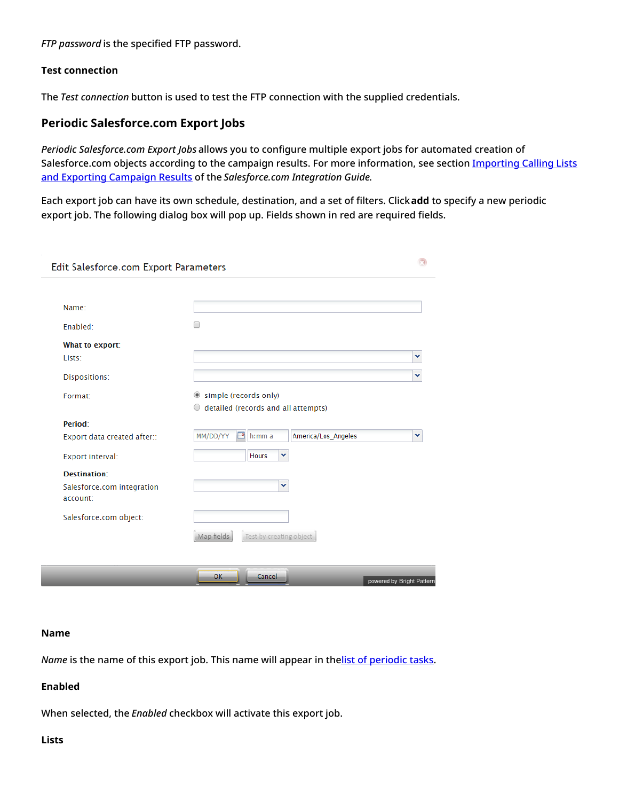*FTP password* is the specified FTP password.

## <span id="page-10-0"></span>**Test connection**

The *Test connection* button is used to test the FTP connection with the supplied credentials.

# <span id="page-10-1"></span>**Periodic Salesforce.com Export Jobs**

*Periodic Salesforce.com Export Jobs* allows you to configure multiple export jobs for automated creation of [Salesforce.com](https://help.brightpattern.com/5.8:Contact-center-administrator-guide/Tasks/Overview/?action=html-localimages-export#topic_sfdc-integration-guide.2Fimportingcallinglistsandexportingcampaignresults) objects according to the campaign results. For more information, see section Importing Calling Lists and Exporting Campaign Results of the *Salesforce.com Integration Guide*.

Each export job can have its own schedule, destination, and a set of filters. Click**add** to specify a new periodic export job. The following dialog box will pop up. Fields shown in red are required fields.

| Edit Salesforce.com Export Parameters  |                                                  |                           |
|----------------------------------------|--------------------------------------------------|---------------------------|
|                                        |                                                  |                           |
| Name:                                  |                                                  |                           |
| Enabled:                               |                                                  |                           |
| What to export:                        |                                                  |                           |
| Lists:                                 |                                                  |                           |
| Dispositions:                          |                                                  |                           |
| Format:                                | Simple (records only)                            |                           |
|                                        | detailed (records and all attempts)<br>0         |                           |
| Period:                                |                                                  |                           |
| Export data created after::            | MM/DD/YY<br>◚<br>America/Los_Angeles<br>$h:mm$ a | v                         |
| Export interval:                       | v<br><b>Hours</b>                                |                           |
| Destination:                           |                                                  |                           |
| Salesforce.com integration<br>account: | v                                                |                           |
| Salesforce.com object:                 |                                                  |                           |
|                                        | Test by creating object<br>Map fields            |                           |
|                                        |                                                  |                           |
|                                        | <b>OK</b><br>Cancel                              | powered by Bright Pattern |

#### <span id="page-10-2"></span>**Name**

*Name* is the name of this export job. This name will appear in thelist of [periodic](https://help.brightpattern.com/5.8:Contact-center-administrator-guide/Tasks/Overview/?action=html-localimages-export#topic_contact-center-administrator-guide.2Fscheduledandin-progresstasks) tasks.

# <span id="page-10-3"></span>**Enabled**

When selected, the *Enabled* checkbox will activate this export job.

#### <span id="page-10-4"></span>**Lists**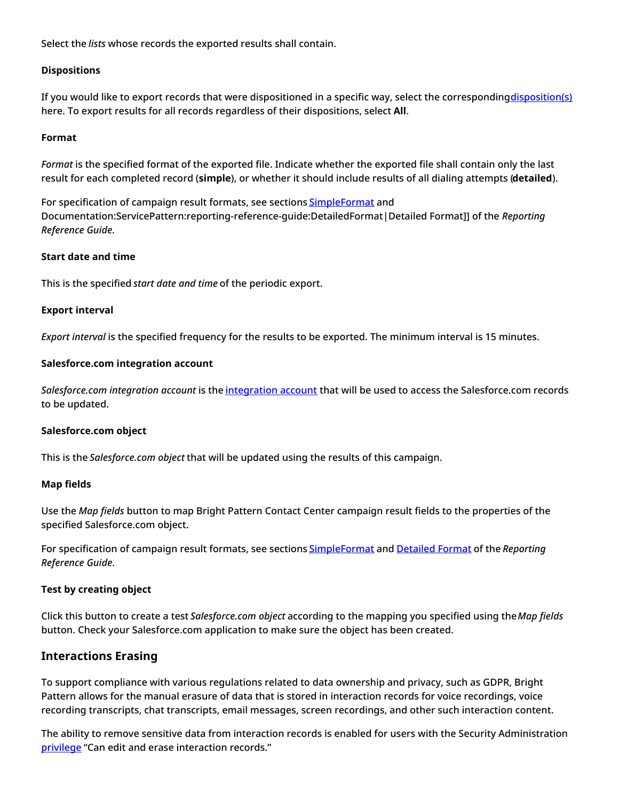Select the *lists* whose records the exported results shall contain.

## <span id="page-11-0"></span>**Dispositions**

If you would like to export records that were dispositioned in a specific way, select the corresponding[disposition\(s\)](https://help.brightpattern.com/5.8:Contact-center-administrator-guide/Tasks/Overview/?action=html-localimages-export#topic_contact-center-administrator-guide.2Fdispositionstab) here. To export results for all records regardless of their dispositions, select **All**.

### <span id="page-11-1"></span>**Format**

*Format* is the specified format of the exported file. Indicate whether the exported file shall contain only the last result for each completed record (**simple**), or whether it should include results of all dialing attempts (**detailed**).

For specification of campaign result formats, see sections [SimpleFormat](https://help.brightpattern.com/5.8:Contact-center-administrator-guide/Tasks/Overview/?action=html-localimages-export#topic_reporting-reference-guide.2Fsimpleformat) and Documentation:ServicePattern:reporting-reference-guide:DetailedFormat|Detailed Format]] of the *Reporting Reference Guide*.

## <span id="page-11-2"></span>**Start date and time**

This is the specified *start date and time* of the periodic export.

## <span id="page-11-3"></span>**Export interval**

*Export interval* is the specified frequency for the results to be exported. The minimum interval is 15 minutes.

## <span id="page-11-4"></span>**Salesforce.com integration account**

*Salesforce.com integration account* is the [integration](https://help.brightpattern.com/5.8:Contact-center-administrator-guide/Tasks/Overview/?action=html-localimages-export#topic_contact-center-administrator-guide.2Fintegrationaccounts) account that will be used to access the Salesforce.com records to be updated.

#### <span id="page-11-5"></span>**Salesforce.com object**

This is the *Salesforce.com object* that will be updated using the results of this campaign.

#### <span id="page-11-6"></span>**Map fields**

Use the *Map fields* button to map Bright Pattern Contact Center campaign result fields to the properties of the specified Salesforce.com object.

For specification of campaign result formats, see sections [SimpleFormat](https://help.brightpattern.com/5.8:Contact-center-administrator-guide/Tasks/Overview/?action=html-localimages-export#topic_reporting-reference-guide.2Fsimpleformat) and [Detailed](https://help.brightpattern.com/5.8:Contact-center-administrator-guide/Tasks/Overview/?action=html-localimages-export#topic_reporting-reference-guide.2Fdetailedformat) Format of the *Reporting Reference Guide*.

# <span id="page-11-7"></span>**Test by creating object**

Click this button to create a test *Salesforce.com object* according to the mapping you specified using the*Map fields* button. Check your Salesforce.com application to make sure the object has been created.

# <span id="page-11-8"></span>**Interactions Erasing**

To support compliance with various regulations related to data ownership and privacy, such as GDPR, Bright Pattern allows for the manual erasure of data that is stored in interaction records for voice recordings, voice recording transcripts, chat transcripts, email messages, screen recordings, and other such interaction content.

The ability to remove sensitive data from interaction records is enabled for users with the Security Administration [privilege](https://help.brightpattern.com/5.8:Contact-center-administrator-guide/Privileges#Can_edit_and_erase_interaction_records) "Can edit and erase interaction records."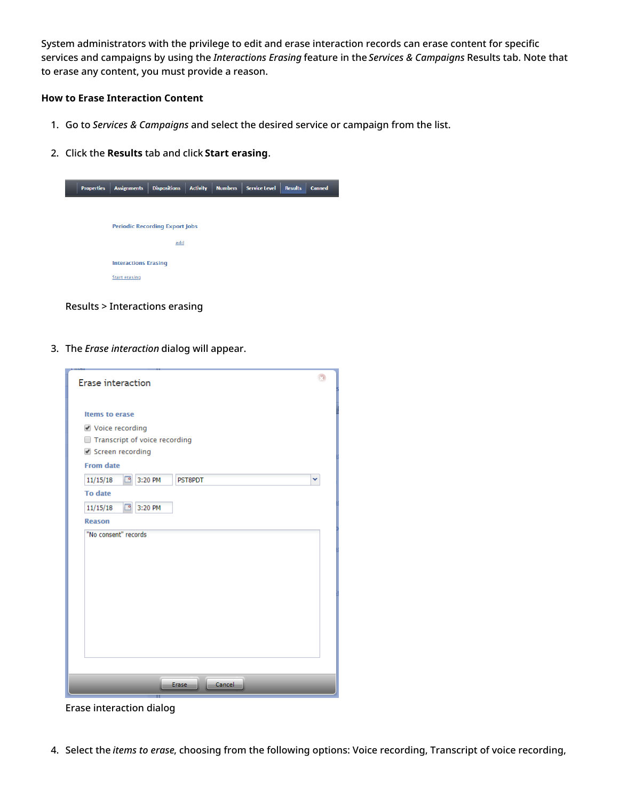System administrators with the privilege to edit and erase interaction records can erase content for specific services and campaigns by using the *Interactions Erasing* feature in the *Services & Campaigns* Results tab. Note that to erase any content, you must provide a reason.

## <span id="page-12-0"></span>**How to Erase Interaction Content**

- 1. Go to *Services & Campaigns* and select the desired service or campaign from the list.
- 2. Click the **Results** tab and click **Start erasing**.



Results > Interactions erasing

3. The *Erase interaction* dialog will appear.

| <b>Erase interaction</b>                                                                                            |  |
|---------------------------------------------------------------------------------------------------------------------|--|
| <b>Items to erase</b><br>● Voice recording<br>Transcript of voice recording<br>Screen recording<br><b>From date</b> |  |
| ₽<br>3:20 PM<br>PST8PDT<br>11/15/18<br>v                                                                            |  |
| <b>To date</b>                                                                                                      |  |
| ₽<br>3:20 PM<br>11/15/18                                                                                            |  |
| <b>Reason</b>                                                                                                       |  |
| "No consent" records                                                                                                |  |
|                                                                                                                     |  |
|                                                                                                                     |  |
|                                                                                                                     |  |
| Cancel<br>Erase                                                                                                     |  |

Erase interaction dialog

4. Select the *items to erase*, choosing from the following options: Voice recording, Transcript of voice recording,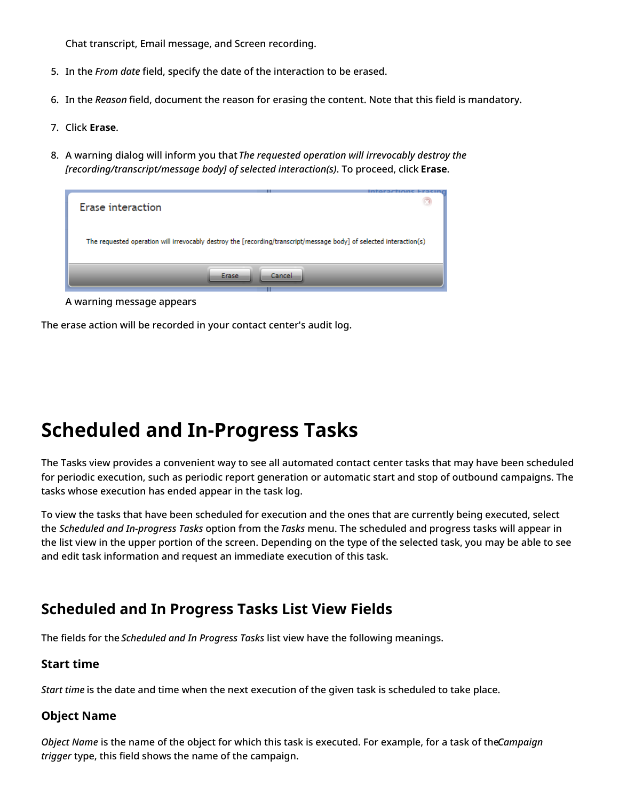Chat transcript, Email message, and Screen recording.

- 5. In the *From date* field, specify the date of the interaction to be erased.
- 6. In the *Reason* field, document the reason for erasing the content. Note that this field is mandatory.
- 7. Click **Erase**.
- 8. A warning dialog will inform you that *The requested operation will irrevocably destroy the [recording/transcript/message body] of selected interaction(s)*. To proceed, click **Erase**.

| mtaractione Lraein                                                                                                  |
|---------------------------------------------------------------------------------------------------------------------|
| Erase interaction                                                                                                   |
| The requested operation will irrevocably destroy the [recording/transcript/message body] of selected interaction(s) |
| Cancel<br>Erase                                                                                                     |

A warning message appears

The erase action will be recorded in your contact center's audit log.

# <span id="page-13-0"></span>**Scheduled and In-Progress Tasks**

The Tasks view provides a convenient way to see all automated contact center tasks that may have been scheduled for periodic execution, such as periodic report generation or automatic start and stop of outbound campaigns. The tasks whose execution has ended appear in the task log.

To view the tasks that have been scheduled for execution and the ones that are currently being executed, select the *Scheduled and In-progress Tasks* option from the *Tasks* menu. The scheduled and progress tasks will appear in the list view in the upper portion of the screen. Depending on the type of the selected task, you may be able to see and edit task information and request an immediate execution of this task.

# <span id="page-13-1"></span>**Scheduled and In Progress Tasks List View Fields**

The fields for the *Scheduled and In Progress Tasks* list view have the following meanings.

# <span id="page-13-2"></span>**Start time**

*Start time* is the date and time when the next execution of the given task is scheduled to take place.

# <span id="page-13-3"></span>**Object Name**

*Object Name* is the name of the object for which this task is executed. For example, for a task of the*Campaign trigger* type, this field shows the name of the campaign.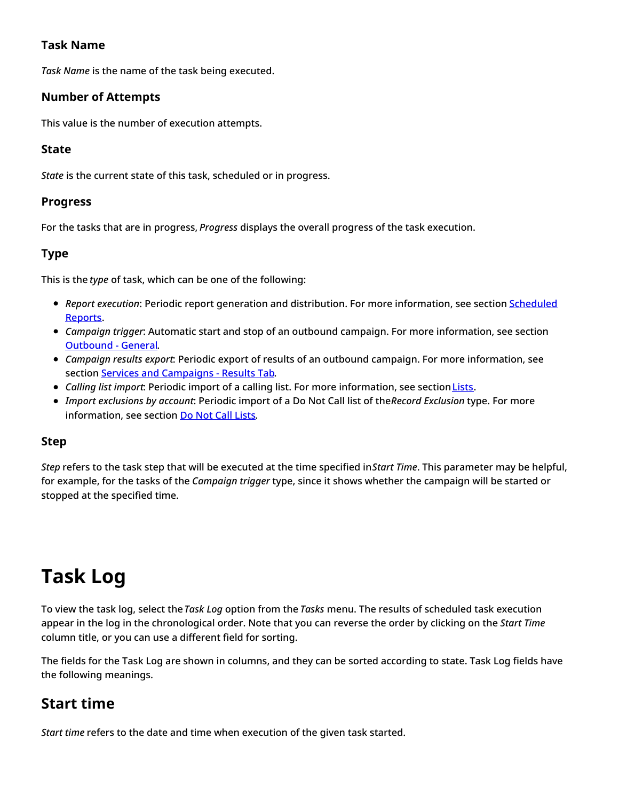# <span id="page-14-0"></span>**Task Name**

*Task Name* is the name of the task being executed.

# <span id="page-14-1"></span>**Number of Attempts**

This value is the number of execution attempts.

# <span id="page-14-2"></span>**State**

*State* is the current state of this task, scheduled or in progress.

# <span id="page-14-3"></span>**Progress**

For the tasks that are in progress, *Progress* displays the overall progress of the task execution.

# <span id="page-14-4"></span>**Type**

This is the *type* of task, which can be one of the following:

- **Report execution: Periodic report generation and distribution. For more [information,](https://help.brightpattern.com/5.8:Contact-center-administrator-guide/Tasks/Overview/?action=html-localimages-export#topic_contact-center-administrator-guide.2Fscheduledreports) see section <b>Scheduled** Reports.
- *Campaign trigger*: Automatic start and stop of an outbound campaign. For more information, see section [Outbound](https://help.brightpattern.com/5.8:Contact-center-administrator-guide/Tasks/Overview/?action=html-localimages-export#topic_contact-center-administrator-guide.2Foutbound-general) - General.
- *Campaign results export*: Periodic export of results of an outbound campaign. For more information, see section Services and [Campaigns](https://help.brightpattern.com/5.8:Contact-center-administrator-guide/Tasks/Overview/?action=html-localimages-export#topic_contact-center-administrator-guide.2Fresultstab) - Results Tab.
- **Calling list import: Periodic import of a calling list. For more information, see section [Lists](https://help.brightpattern.com/5.8:Contact-center-administrator-guide/Tasks/Overview/?action=html-localimages-export#topic_contact-center-administrator-guide.2Flists).**
- *Import exclusions by account*: Periodic import of a Do Not Call list of the*Record Exclusion* type. For more information, see section Do Not Call [Lists](https://help.brightpattern.com/5.8:Contact-center-administrator-guide/Tasks/Overview/?action=html-localimages-export#topic_contact-center-administrator-guide.2Fdonotcalllists).

# <span id="page-14-5"></span>**Step**

*Step* refers to the task step that will be executed at the time specified in*Start Time*. This parameter may be helpful, for example, for the tasks of the *Campaign trigger* type, since it shows whether the campaign will be started or stopped at the specified time.

# <span id="page-14-6"></span>**Task Log**

To view the task log, select the *Task Log* option from the *Tasks* menu. The results of scheduled task execution appear in the log in the chronological order. Note that you can reverse the order by clicking on the *Start Time* column title, or you can use a different field for sorting.

The fields for the Task Log are shown in columns, and they can be sorted according to state. Task Log fields have the following meanings.

# <span id="page-14-7"></span>**Start time**

*Start time* refers to the date and time when execution of the given task started.